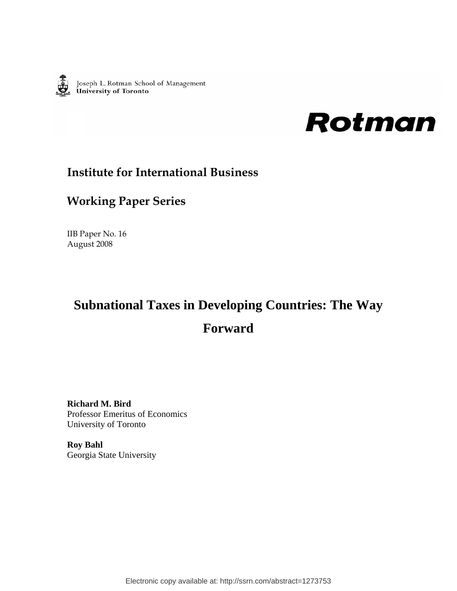

Joseph L. Rotman School of Management<br>**University of Toronto** 

# Rotman

### **Institute for International Business**

## **Working Paper Series**

IIB Paper No. 16 August 2008

## **Subnational Taxes in Developing Countries: The Way Forward**

**Richard M. Bird**  Professor Emeritus of Economics University of Toronto

**Roy Bahl**  Georgia State University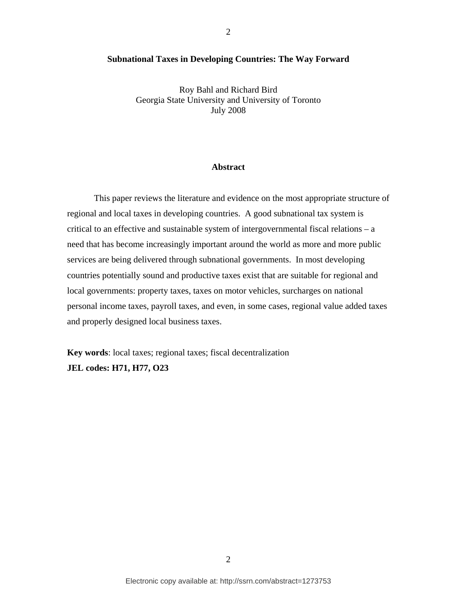#### **Subnational Taxes in Developing Countries: The Way Forward**

2

Roy Bahl and Richard Bird Georgia State University and University of Toronto July 2008

#### **Abstract**

This paper reviews the literature and evidence on the most appropriate structure of regional and local taxes in developing countries. A good subnational tax system is critical to an effective and sustainable system of intergovernmental fiscal relations – a need that has become increasingly important around the world as more and more public services are being delivered through subnational governments. In most developing countries potentially sound and productive taxes exist that are suitable for regional and local governments: property taxes, taxes on motor vehicles, surcharges on national personal income taxes, payroll taxes, and even, in some cases, regional value added taxes and properly designed local business taxes.

**Key words**: local taxes; regional taxes; fiscal decentralization **JEL codes: H71, H77, O23**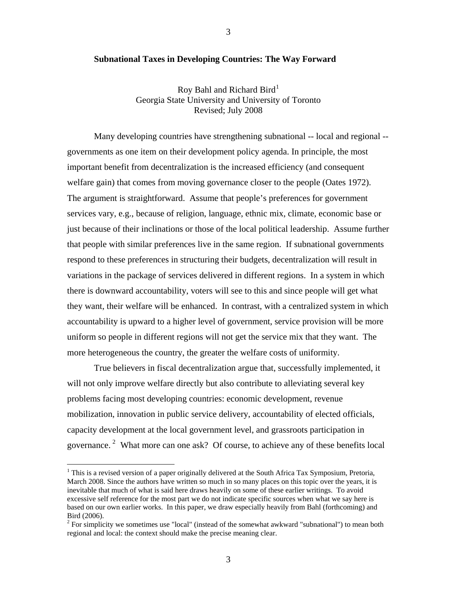#### **Subnational Taxes in Developing Countries: The Way Forward**

Roy Bahl and Richard Bird<sup>[1](#page-2-0)</sup> Georgia State University and University of Toronto Revised; July 2008

Many developing countries have strengthening subnational -- local and regional - governments as one item on their development policy agenda. In principle, the most important benefit from decentralization is the increased efficiency (and consequent welfare gain) that comes from moving governance closer to the people (Oates 1972). The argument is straightforward. Assume that people's preferences for government services vary, e.g., because of religion, language, ethnic mix, climate, economic base or just because of their inclinations or those of the local political leadership. Assume further that people with similar preferences live in the same region. If subnational governments respond to these preferences in structuring their budgets, decentralization will result in variations in the package of services delivered in different regions. In a system in which there is downward accountability, voters will see to this and since people will get what they want, their welfare will be enhanced. In contrast, with a centralized system in which accountability is upward to a higher level of government, service provision will be more uniform so people in different regions will not get the service mix that they want. The more heterogeneous the country, the greater the welfare costs of uniformity.

True believers in fiscal decentralization argue that, successfully implemented, it will not only improve welfare directly but also contribute to alleviating several key problems facing most developing countries: economic development, revenue mobilization, innovation in public service delivery, accountability of elected officials, capacity development at the local government level, and grassroots participation in governance.<sup>[2](#page-2-1)</sup> What more can one ask? Of course, to achieve any of these benefits local

 $\overline{a}$ 

<span id="page-2-0"></span><sup>&</sup>lt;sup>1</sup> This is a revised version of a paper originally delivered at the South Africa Tax Symposium, Pretoria, March 2008. Since the authors have written so much in so many places on this topic over the years, it is inevitable that much of what is said here draws heavily on some of these earlier writings. To avoid excessive self reference for the most part we do not indicate specific sources when what we say here is based on our own earlier works. In this paper, we draw especially heavily from Bahl (forthcoming) and Bird (2006).

<span id="page-2-1"></span> $2^{2}$  For simplicity we sometimes use "local" (instead of the somewhat awkward "subnational") to mean both regional and local: the context should make the precise meaning clear.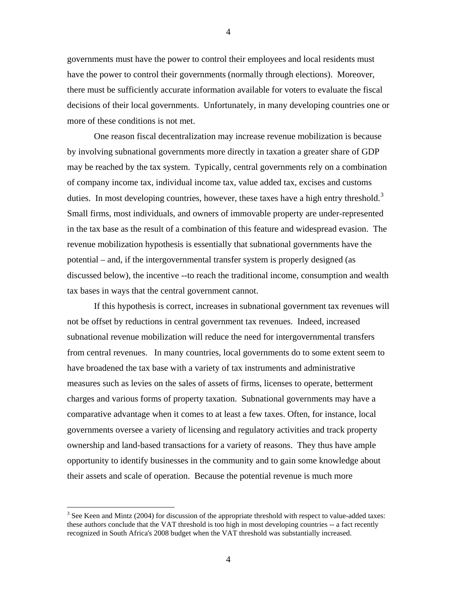governments must have the power to control their employees and local residents must have the power to control their governments (normally through elections). Moreover, there must be sufficiently accurate information available for voters to evaluate the fiscal decisions of their local governments. Unfortunately, in many developing countries one or more of these conditions is not met.

One reason fiscal decentralization may increase revenue mobilization is because by involving subnational governments more directly in taxation a greater share of GDP may be reached by the tax system. Typically, central governments rely on a combination of company income tax, individual income tax, value added tax, excises and customs duties. In most developing countries, however, these taxes have a high entry threshold.<sup>[3](#page-3-0)</sup> Small firms, most individuals, and owners of immovable property are under-represented in the tax base as the result of a combination of this feature and widespread evasion. The revenue mobilization hypothesis is essentially that subnational governments have the potential – and, if the intergovernmental transfer system is properly designed (as discussed below), the incentive --to reach the traditional income, consumption and wealth tax bases in ways that the central government cannot.

If this hypothesis is correct, increases in subnational government tax revenues will not be offset by reductions in central government tax revenues. Indeed, increased subnational revenue mobilization will reduce the need for intergovernmental transfers from central revenues. In many countries, local governments do to some extent seem to have broadened the tax base with a variety of tax instruments and administrative measures such as levies on the sales of assets of firms, licenses to operate, betterment charges and various forms of property taxation. Subnational governments may have a comparative advantage when it comes to at least a few taxes. Often, for instance, local governments oversee a variety of licensing and regulatory activities and track property ownership and land-based transactions for a variety of reasons. They thus have ample opportunity to identify businesses in the community and to gain some knowledge about their assets and scale of operation. Because the potential revenue is much more

1

<span id="page-3-0"></span> $3$  See Keen and Mintz (2004) for discussion of the appropriate threshold with respect to value-added taxes: these authors conclude that the VAT threshold is too high in most developing countries -- a fact recently recognized in South Africa's 2008 budget when the VAT threshold was substantially increased.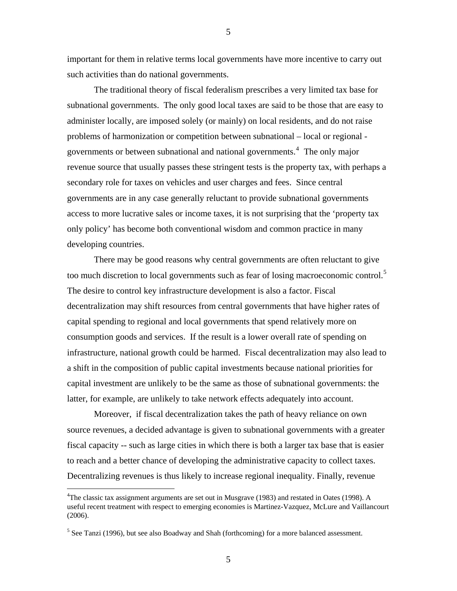important for them in relative terms local governments have more incentive to carry out such activities than do national governments.

 The traditional theory of fiscal federalism prescribes a very limited tax base for subnational governments. The only good local taxes are said to be those that are easy to administer locally, are imposed solely (or mainly) on local residents, and do not raise problems of harmonization or competition between subnational – local or regional - governments or between subnational and national governments.<sup>[4](#page-4-0)</sup> The only major revenue source that usually passes these stringent tests is the property tax, with perhaps a secondary role for taxes on vehicles and user charges and fees. Since central governments are in any case generally reluctant to provide subnational governments access to more lucrative sales or income taxes, it is not surprising that the 'property tax only policy' has become both conventional wisdom and common practice in many developing countries.

There may be good reasons why central governments are often reluctant to give too much discretion to local governments such as fear of losing macroeconomic control.<sup>[5](#page-4-1)</sup> The desire to control key infrastructure development is also a factor. Fiscal decentralization may shift resources from central governments that have higher rates of capital spending to regional and local governments that spend relatively more on consumption goods and services. If the result is a lower overall rate of spending on infrastructure, national growth could be harmed. Fiscal decentralization may also lead to a shift in the composition of public capital investments because national priorities for capital investment are unlikely to be the same as those of subnational governments: the latter, for example, are unlikely to take network effects adequately into account.

Moreover, if fiscal decentralization takes the path of heavy reliance on own source revenues, a decided advantage is given to subnational governments with a greater fiscal capacity -- such as large cities in which there is both a larger tax base that is easier to reach and a better chance of developing the administrative capacity to collect taxes. Decentralizing revenues is thus likely to increase regional inequality. Finally, revenue

 $\overline{a}$ 

<span id="page-4-0"></span><sup>&</sup>lt;sup>4</sup>The classic tax assignment arguments are set out in Musgrave (1983) and restated in Oates (1998). A useful recent treatment with respect to emerging economies is Martinez-Vazquez, McLure and Vaillancourt (2006).

<span id="page-4-1"></span> $<sup>5</sup>$  See Tanzi (1996), but see also Boadway and Shah (forthcoming) for a more balanced assessment.</sup>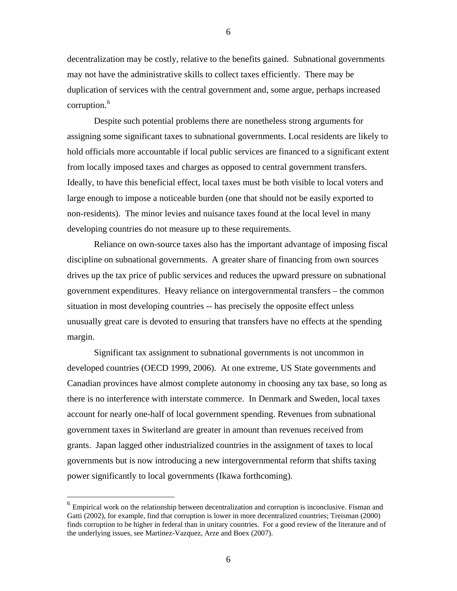decentralization may be costly, relative to the benefits gained. Subnational governments may not have the administrative skills to collect taxes efficiently. There may be duplication of services with the central government and, some argue, perhaps increased corruption.<sup>[6](#page-5-0)</sup>

Despite such potential problems there are nonetheless strong arguments for assigning some significant taxes to subnational governments. Local residents are likely to hold officials more accountable if local public services are financed to a significant extent from locally imposed taxes and charges as opposed to central government transfers. Ideally, to have this beneficial effect, local taxes must be both visible to local voters and large enough to impose a noticeable burden (one that should not be easily exported to non-residents). The minor levies and nuisance taxes found at the local level in many developing countries do not measure up to these requirements.

Reliance on own-source taxes also has the important advantage of imposing fiscal discipline on subnational governments. A greater share of financing from own sources drives up the tax price of public services and reduces the upward pressure on subnational government expenditures. Heavy reliance on intergovernmental transfers – the common situation in most developing countries -- has precisely the opposite effect unless unusually great care is devoted to ensuring that transfers have no effects at the spending margin.

Significant tax assignment to subnational governments is not uncommon in developed countries (OECD 1999, 2006). At one extreme, US State governments and Canadian provinces have almost complete autonomy in choosing any tax base, so long as there is no interference with interstate commerce. In Denmark and Sweden, local taxes account for nearly one-half of local government spending. Revenues from subnational government taxes in Switerland are greater in amount than revenues received from grants. Japan lagged other industrialized countries in the assignment of taxes to local governments but is now introducing a new intergovernmental reform that shifts taxing power significantly to local governments (Ikawa forthcoming).

<span id="page-5-0"></span><sup>&</sup>lt;sup>6</sup> Empirical work on the relationship between decentralization and corruption is inconclusive. Fisman and Gatti (2002), for example, find that corruption is lower in more decentralized countries; Treisman (2000) finds corruption to be higher in federal than in unitary countries. For a good review of the literature and of the underlying issues, see Martinez-Vazquez, Arze and Boex (2007).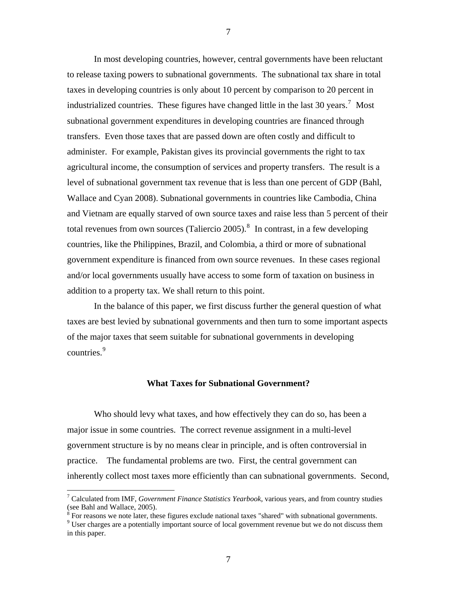In most developing countries, however, central governments have been reluctant to release taxing powers to subnational governments. The subnational tax share in total taxes in developing countries is only about 10 percent by comparison to 20 percent in industrialized countries. These figures have changed little in the last 30 years.<sup>[7](#page-6-0)</sup> Most subnational government expenditures in developing countries are financed through transfers. Even those taxes that are passed down are often costly and difficult to administer. For example, Pakistan gives its provincial governments the right to tax agricultural income, the consumption of services and property transfers. The result is a level of subnational government tax revenue that is less than one percent of GDP (Bahl, Wallace and Cyan 2008). Subnational governments in countries like Cambodia, China and Vietnam are equally starved of own source taxes and raise less than 5 percent of their total revenues from own sources (Taliercio 2005).<sup>[8](#page-6-1)</sup> In contrast, in a few developing countries, like the Philippines, Brazil, and Colombia, a third or more of subnational government expenditure is financed from own source revenues. In these cases regional and/or local governments usually have access to some form of taxation on business in addition to a property tax. We shall return to this point.

In the balance of this paper, we first discuss further the general question of what taxes are best levied by subnational governments and then turn to some important aspects of the major taxes that seem suitable for subnational governments in developing countries.<sup>[9](#page-6-2)</sup>

#### **What Taxes for Subnational Government?**

 Who should levy what taxes, and how effectively they can do so, has been a major issue in some countries. The correct revenue assignment in a multi-level government structure is by no means clear in principle, and is often controversial in practice. The fundamental problems are two. First, the central government can inherently collect most taxes more efficiently than can subnational governments. Second,

1

<span id="page-6-0"></span><sup>7</sup> Calculated from IMF, *Government Finance Statistics Yearbook*, various years, and from country studies (see Bahl and Wallace, 2005).

<span id="page-6-1"></span> $8\overline{8}$  For reasons we note later, these figures exclude national taxes "shared" with subnational governments.

<span id="page-6-2"></span><sup>&</sup>lt;sup>9</sup> User charges are a potentially important source of local government revenue but we do not discuss them in this paper.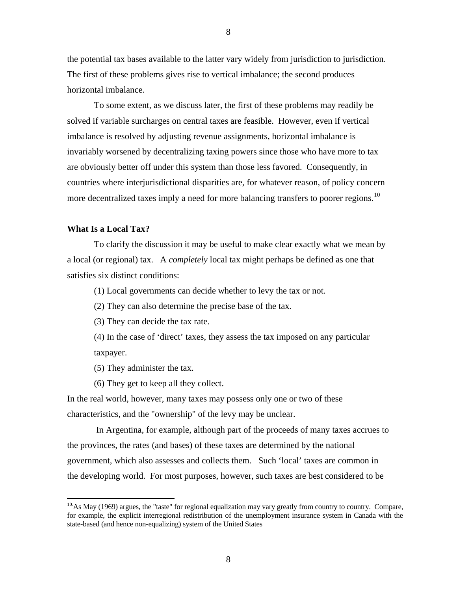the potential tax bases available to the latter vary widely from jurisdiction to jurisdiction. The first of these problems gives rise to vertical imbalance; the second produces horizontal imbalance.

 To some extent, as we discuss later, the first of these problems may readily be solved if variable surcharges on central taxes are feasible. However, even if vertical imbalance is resolved by adjusting revenue assignments, horizontal imbalance is invariably worsened by decentralizing taxing powers since those who have more to tax are obviously better off under this system than those less favored. Consequently, in countries where interjurisdictional disparities are, for whatever reason, of policy concern more decentralized taxes imply a need for more balancing transfers to poorer regions.<sup>[10](#page-7-0)</sup>

#### **What Is a Local Tax?**

1

 To clarify the discussion it may be useful to make clear exactly what we mean by a local (or regional) tax. A *completely* local tax might perhaps be defined as one that satisfies six distinct conditions:

(1) Local governments can decide whether to levy the tax or not.

(2) They can also determine the precise base of the tax.

(3) They can decide the tax rate.

(4) In the case of 'direct' taxes, they assess the tax imposed on any particular taxpayer.

(5) They administer the tax.

(6) They get to keep all they collect.

In the real world, however, many taxes may possess only one or two of these characteristics, and the "ownership" of the levy may be unclear.

 In Argentina, for example, although part of the proceeds of many taxes accrues to the provinces, the rates (and bases) of these taxes are determined by the national government, which also assesses and collects them. Such 'local' taxes are common in the developing world. For most purposes, however, such taxes are best considered to be

<span id="page-7-0"></span><sup>&</sup>lt;sup>10.</sup>As May (1969) argues, the "taste" for regional equalization may vary greatly from country to country. Compare, for example, the explicit interregional redistribution of the unemployment insurance system in Canada with the state-based (and hence non-equalizing) system of the United States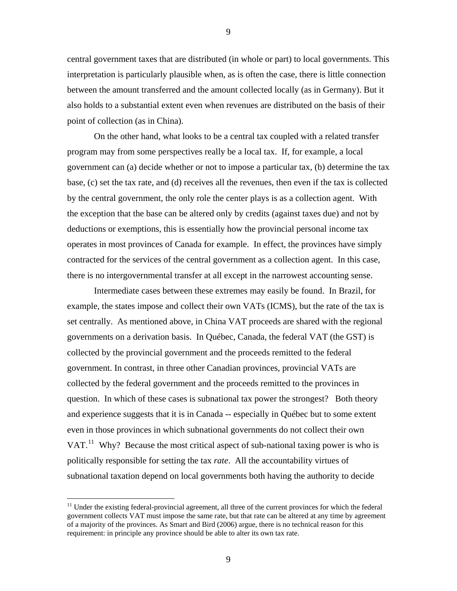central government taxes that are distributed (in whole or part) to local governments. This interpretation is particularly plausible when, as is often the case, there is little connection between the amount transferred and the amount collected locally (as in Germany). But it also holds to a substantial extent even when revenues are distributed on the basis of their point of collection (as in China).

 On the other hand, what looks to be a central tax coupled with a related transfer program may from some perspectives really be a local tax. If, for example, a local government can (a) decide whether or not to impose a particular tax, (b) determine the tax base, (c) set the tax rate, and (d) receives all the revenues, then even if the tax is collected by the central government, the only role the center plays is as a collection agent. With the exception that the base can be altered only by credits (against taxes due) and not by deductions or exemptions, this is essentially how the provincial personal income tax operates in most provinces of Canada for example. In effect, the provinces have simply contracted for the services of the central government as a collection agent. In this case, there is no intergovernmental transfer at all except in the narrowest accounting sense.

 Intermediate cases between these extremes may easily be found. In Brazil, for example, the states impose and collect their own VATs (ICMS), but the rate of the tax is set centrally. As mentioned above, in China VAT proceeds are shared with the regional governments on a derivation basis. In Québec, Canada, the federal VAT (the GST) is collected by the provincial government and the proceeds remitted to the federal government. In contrast, in three other Canadian provinces, provincial VATs are collected by the federal government and the proceeds remitted to the provinces in question. In which of these cases is subnational tax power the strongest? Both theory and experience suggests that it is in Canada -- especially in Québec but to some extent even in those provinces in which subnational governments do not collect their own VAT.<sup>[11](#page-8-0)</sup> Why? Because the most critical aspect of sub-national taxing power is who is politically responsible for setting the tax *rate*. All the accountability virtues of subnational taxation depend on local governments both having the authority to decide

 $\overline{a}$ 

<span id="page-8-0"></span><sup>&</sup>lt;sup>11</sup> Under the existing federal-provincial agreement, all three of the current provinces for which the federal government collects VAT must impose the same rate, but that rate can be altered at any time by agreement of a majority of the provinces. As Smart and Bird (2006) argue, there is no technical reason for this requirement: in principle any province should be able to alter its own tax rate.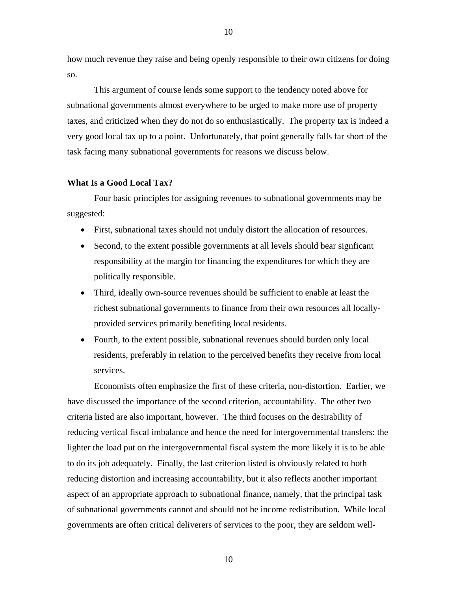how much revenue they raise and being openly responsible to their own citizens for doing so.

 This argument of course lends some support to the tendency noted above for subnational governments almost everywhere to be urged to make more use of property taxes, and criticized when they do not do so enthusiastically. The property tax is indeed a very good local tax up to a point. Unfortunately, that point generally falls far short of the task facing many subnational governments for reasons we discuss below.

#### **What Is a Good Local Tax?**

 Four basic principles for assigning revenues to subnational governments may be suggested:

- First, subnational taxes should not unduly distort the allocation of resources.
- Second, to the extent possible governments at all levels should bear signficant responsibility at the margin for financing the expenditures for which they are politically responsible.
- Third, ideally own-source revenues should be sufficient to enable at least the richest subnational governments to finance from their own resources all locallyprovided services primarily benefiting local residents.
- Fourth, to the extent possible, subnational revenues should burden only local residents, preferably in relation to the perceived benefits they receive from local services.

 Economists often emphasize the first of these criteria, non-distortion. Earlier, we have discussed the importance of the second criterion, accountability. The other two criteria listed are also important, however. The third focuses on the desirability of reducing vertical fiscal imbalance and hence the need for intergovernmental transfers: the lighter the load put on the intergovernmental fiscal system the more likely it is to be able to do its job adequately. Finally, the last criterion listed is obviously related to both reducing distortion and increasing accountability, but it also reflects another important aspect of an appropriate approach to subnational finance, namely, that the principal task of subnational governments cannot and should not be income redistribution. While local governments are often critical deliverers of services to the poor, they are seldom well-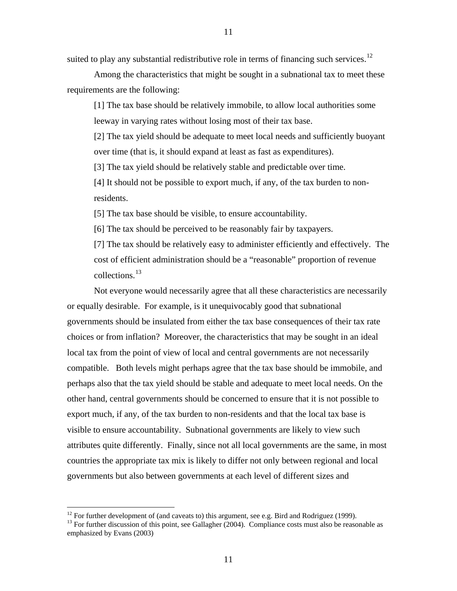suited to play any substantial redistributive role in terms of financing such services.<sup>[12](#page-10-0)</sup>

 Among the characteristics that might be sought in a subnational tax to meet these requirements are the following:

 [1] The tax base should be relatively immobile, to allow local authorities some leeway in varying rates without losing most of their tax base.

 [2] The tax yield should be adequate to meet local needs and sufficiently buoyant over time (that is, it should expand at least as fast as expenditures).

[3] The tax yield should be relatively stable and predictable over time.

 [4] It should not be possible to export much, if any, of the tax burden to nonresidents.

[5] The tax base should be visible, to ensure accountability.

[6] The tax should be perceived to be reasonably fair by taxpayers.

 [7] The tax should be relatively easy to administer efficiently and effectively. The cost of efficient administration should be a "reasonable" proportion of revenue collections.[13](#page-10-1)

 Not everyone would necessarily agree that all these characteristics are necessarily or equally desirable. For example, is it unequivocably good that subnational governments should be insulated from either the tax base consequences of their tax rate choices or from inflation? Moreover, the characteristics that may be sought in an ideal local tax from the point of view of local and central governments are not necessarily compatible. Both levels might perhaps agree that the tax base should be immobile, and perhaps also that the tax yield should be stable and adequate to meet local needs. On the other hand, central governments should be concerned to ensure that it is not possible to export much, if any, of the tax burden to non-residents and that the local tax base is visible to ensure accountability. Subnational governments are likely to view such attributes quite differently. Finally, since not all local governments are the same, in most countries the appropriate tax mix is likely to differ not only between regional and local governments but also between governments at each level of different sizes and

<span id="page-10-0"></span> $12$  For further development of (and caveats to) this argument, see e.g. Bird and Rodriguez (1999).

<span id="page-10-1"></span><sup>&</sup>lt;sup>13</sup> For further discussion of this point, see Gallagher (2004). Compliance costs must also be reasonable as emphasized by Evans (2003)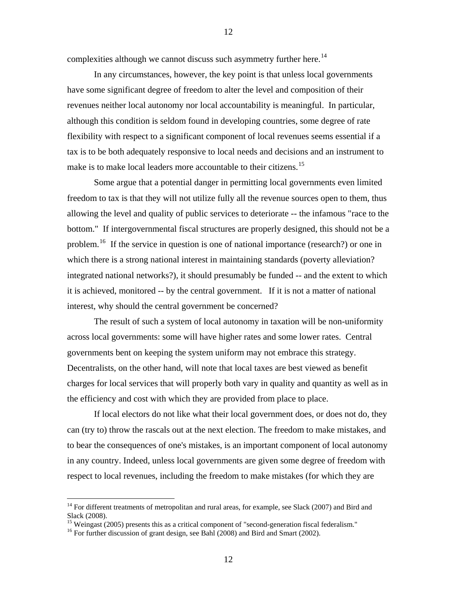complexities although we cannot discuss such asymmetry further here.<sup>[14](#page-11-0)</sup>

 In any circumstances, however, the key point is that unless local governments have some significant degree of freedom to alter the level and composition of their revenues neither local autonomy nor local accountability is meaningful. In particular, although this condition is seldom found in developing countries, some degree of rate flexibility with respect to a significant component of local revenues seems essential if a tax is to be both adequately responsive to local needs and decisions and an instrument to make is to make local leaders more accountable to their citizens.<sup>[15](#page-11-1)</sup>

12

 Some argue that a potential danger in permitting local governments even limited freedom to tax is that they will not utilize fully all the revenue sources open to them, thus allowing the level and quality of public services to deteriorate -- the infamous "race to the bottom." If intergovernmental fiscal structures are properly designed, this should not be a problem.<sup>[16](#page-11-2)</sup> If the service in question is one of national importance (research?) or one in which there is a strong national interest in maintaining standards (poverty alleviation? integrated national networks?), it should presumably be funded -- and the extent to which it is achieved, monitored -- by the central government. If it is not a matter of national interest, why should the central government be concerned?

 The result of such a system of local autonomy in taxation will be non-uniformity across local governments: some will have higher rates and some lower rates. Central governments bent on keeping the system uniform may not embrace this strategy. Decentralists, on the other hand, will note that local taxes are best viewed as benefit charges for local services that will properly both vary in quality and quantity as well as in the efficiency and cost with which they are provided from place to place.

 If local electors do not like what their local government does, or does not do, they can (try to) throw the rascals out at the next election. The freedom to make mistakes, and to bear the consequences of one's mistakes, is an important component of local autonomy in any country. Indeed, unless local governments are given some degree of freedom with respect to local revenues, including the freedom to make mistakes (for which they are

<span id="page-11-0"></span> $14$  For different treatments of metropolitan and rural areas, for example, see Slack (2007) and Bird and Slack (2008).

<span id="page-11-2"></span><span id="page-11-1"></span><sup>&</sup>lt;sup>15</sup> Weingast (2005) presents this as a critical component of "second-generation fiscal federalism." <sup>16</sup> For further discussion of grant design, see Bahl (2008) and Bird and Smart (2002).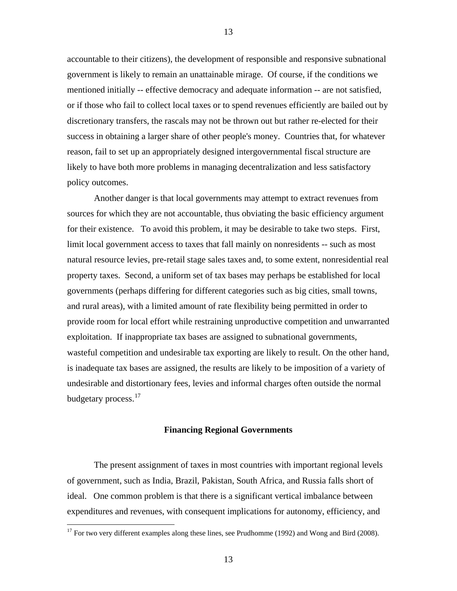accountable to their citizens), the development of responsible and responsive subnational government is likely to remain an unattainable mirage. Of course, if the conditions we mentioned initially -- effective democracy and adequate information -- are not satisfied, or if those who fail to collect local taxes or to spend revenues efficiently are bailed out by discretionary transfers, the rascals may not be thrown out but rather re-elected for their success in obtaining a larger share of other people's money. Countries that, for whatever reason, fail to set up an appropriately designed intergovernmental fiscal structure are likely to have both more problems in managing decentralization and less satisfactory policy outcomes.

13

 Another danger is that local governments may attempt to extract revenues from sources for which they are not accountable, thus obviating the basic efficiency argument for their existence. To avoid this problem, it may be desirable to take two steps. First, limit local government access to taxes that fall mainly on nonresidents -- such as most natural resource levies, pre-retail stage sales taxes and, to some extent, nonresidential real property taxes. Second, a uniform set of tax bases may perhaps be established for local governments (perhaps differing for different categories such as big cities, small towns, and rural areas), with a limited amount of rate flexibility being permitted in order to provide room for local effort while restraining unproductive competition and unwarranted exploitation. If inappropriate tax bases are assigned to subnational governments, wasteful competition and undesirable tax exporting are likely to result. On the other hand, is inadequate tax bases are assigned, the results are likely to be imposition of a variety of undesirable and distortionary fees, levies and informal charges often outside the normal budgetary process.<sup>[17](#page-12-0)</sup>

#### **Financing Regional Governments**

 The present assignment of taxes in most countries with important regional levels of government, such as India, Brazil, Pakistan, South Africa, and Russia falls short of ideal. One common problem is that there is a significant vertical imbalance between expenditures and revenues, with consequent implications for autonomy, efficiency, and

<u>.</u>

<span id="page-12-0"></span><sup>&</sup>lt;sup>17</sup> For two very different examples along these lines, see Prudhomme (1992) and Wong and Bird (2008).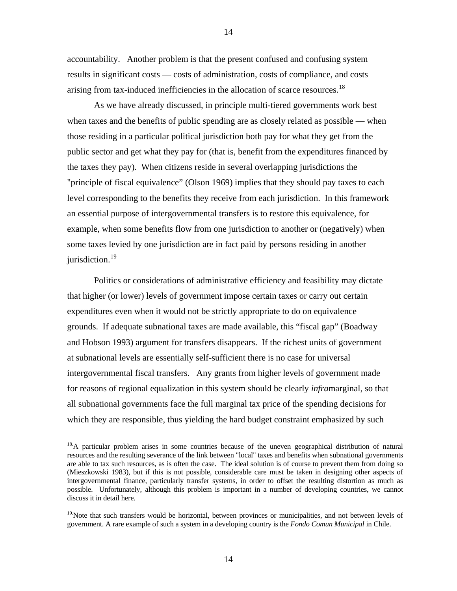accountability. Another problem is that the present confused and confusing system results in significant costs — costs of administration, costs of compliance, and costs arising from tax-induced inefficiencies in the allocation of scarce resources.<sup>[18](#page-13-0)</sup>

 As we have already discussed, in principle multi-tiered governments work best when taxes and the benefits of public spending are as closely related as possible — when those residing in a particular political jurisdiction both pay for what they get from the public sector and get what they pay for (that is, benefit from the expenditures financed by the taxes they pay). When citizens reside in several overlapping jurisdictions the "principle of fiscal equivalence" (Olson 1969) implies that they should pay taxes to each level corresponding to the benefits they receive from each jurisdiction. In this framework an essential purpose of intergovernmental transfers is to restore this equivalence, for example, when some benefits flow from one jurisdiction to another or (negatively) when some taxes levied by one jurisdiction are in fact paid by persons residing in another jurisdiction.<sup>[19](#page-13-1)</sup>

 Politics or considerations of administrative efficiency and feasibility may dictate that higher (or lower) levels of government impose certain taxes or carry out certain expenditures even when it would not be strictly appropriate to do on equivalence grounds. If adequate subnational taxes are made available, this "fiscal gap" (Boadway and Hobson 1993) argument for transfers disappears. If the richest units of government at subnational levels are essentially self-sufficient there is no case for universal intergovernmental fiscal transfers. Any grants from higher levels of government made for reasons of regional equalization in this system should be clearly *infra*marginal, so that all subnational governments face the full marginal tax price of the spending decisions for which they are responsible, thus yielding the hard budget constraint emphasized by such

 $\overline{a}$ 

<span id="page-13-0"></span><sup>&</sup>lt;sup>18.</sup>A particular problem arises in some countries because of the uneven geographical distribution of natural resources and the resulting severance of the link between "local" taxes and benefits when subnational governments are able to tax such resources, as is often the case. The ideal solution is of course to prevent them from doing so (Mieszkowski 1983), but if this is not possible, considerable care must be taken in designing other aspects of intergovernmental finance, particularly transfer systems, in order to offset the resulting distortion as much as possible. Unfortunately, although this problem is important in a number of developing countries, we cannot discuss it in detail here.

<span id="page-13-1"></span><sup>&</sup>lt;sup>19.</sup>Note that such transfers would be horizontal, between provinces or municipalities, and not between levels of government. A rare example of such a system in a developing country is the *Fondo Comun Municipal* in Chile.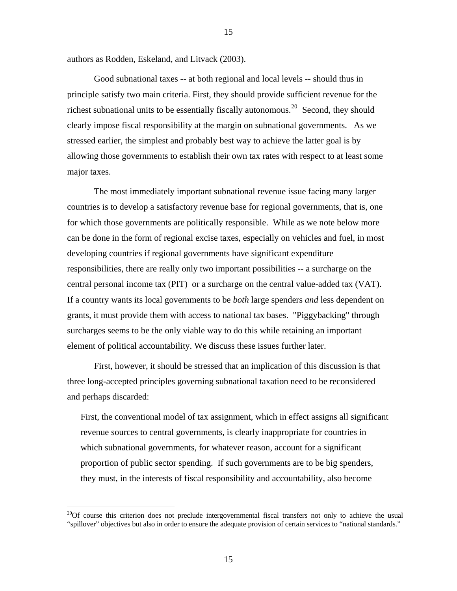authors as Rodden, Eskeland, and Litvack (2003).

 Good subnational taxes -- at both regional and local levels -- should thus in principle satisfy two main criteria. First, they should provide sufficient revenue for the richest subnational units to be essentially fiscally autonomous.<sup>[20](#page-14-0)</sup> Second, they should clearly impose fiscal responsibility at the margin on subnational governments. As we stressed earlier, the simplest and probably best way to achieve the latter goal is by allowing those governments to establish their own tax rates with respect to at least some major taxes.

15

 The most immediately important subnational revenue issue facing many larger countries is to develop a satisfactory revenue base for regional governments, that is, one for which those governments are politically responsible. While as we note below more can be done in the form of regional excise taxes, especially on vehicles and fuel, in most developing countries if regional governments have significant expenditure responsibilities, there are really only two important possibilities -- a surcharge on the central personal income tax (PIT) or a surcharge on the central value-added tax (VAT). If a country wants its local governments to be *both* large spenders *and* less dependent on grants, it must provide them with access to national tax bases. "Piggybacking" through surcharges seems to be the only viable way to do this while retaining an important element of political accountability. We discuss these issues further later.

 First, however, it should be stressed that an implication of this discussion is that three long-accepted principles governing subnational taxation need to be reconsidered and perhaps discarded:

 First, the conventional model of tax assignment, which in effect assigns all significant revenue sources to central governments, is clearly inappropriate for countries in which subnational governments, for whatever reason, account for a significant proportion of public sector spending. If such governments are to be big spenders, they must, in the interests of fiscal responsibility and accountability, also become

<span id="page-14-0"></span><sup>&</sup>lt;sup>20</sup>Of course this criterion does not preclude intergovernmental fiscal transfers not only to achieve the usual "spillover" objectives but also in order to ensure the adequate provision of certain services to "national standards."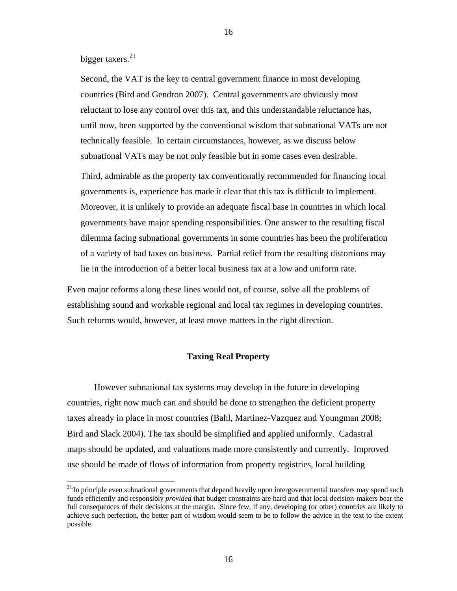16

bigger taxers.<sup>[21](#page-15-0)</sup>

 $\overline{a}$ 

 Second, the VAT is the key to central government finance in most developing countries (Bird and Gendron 2007). Central governments are obviously most reluctant to lose any control over this tax, and this understandable reluctance has, until now, been supported by the conventional wisdom that subnational VATs are not technically feasible. In certain circumstances, however, as we discuss below subnational VATs may be not only feasible but in some cases even desirable.

 Third, admirable as the property tax conventionally recommended for financing local governments is, experience has made it clear that this tax is difficult to implement. Moreover, it is unlikely to provide an adequate fiscal base in countries in which local governments have major spending responsibilities. One answer to the resulting fiscal dilemma facing subnational governments in some countries has been the proliferation of a variety of bad taxes on business. Partial relief from the resulting distortions may lie in the introduction of a better local business tax at a low and uniform rate.

Even major reforms along these lines would not, of course, solve all the problems of establishing sound and workable regional and local tax regimes in developing countries. Such reforms would, however, at least move matters in the right direction.

#### **Taxing Real Property**

 However subnational tax systems may develop in the future in developing countries, right now much can and should be done to strengthen the deficient property taxes already in place in most countries (Bahl, Martinez-Vazquez and Youngman 2008; Bird and Slack 2004). The tax should be simplified and applied uniformly. Cadastral maps should be updated, and valuations made more consistently and currently. Improved use should be made of flows of information from property registries, local building

<span id="page-15-0"></span><sup>&</sup>lt;sup>21.</sup> In principle even subnational governments that depend heavily upon intergovernmental transfers may spend such funds efficiently and responsibly *provided* that budget constraints are hard and that local decision-makers bear the full consequences of their decisions at the margin. Since few, if any, developing (or other) countries are likely to achieve such perfection, the better part of wisdom would seem to be to follow the advice in the text to the extent possible.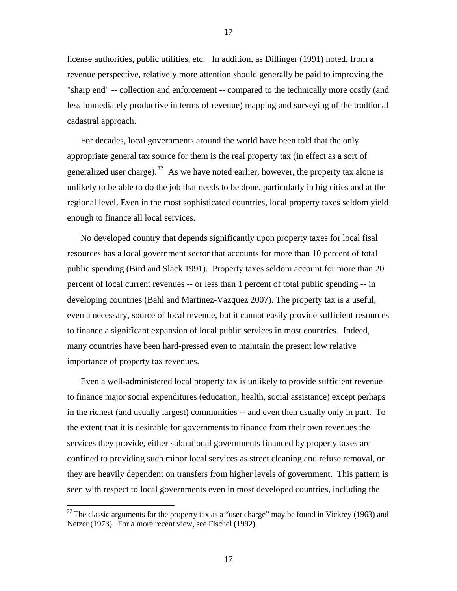license authorities, public utilities, etc. In addition, as Dillinger (1991) noted, from a revenue perspective, relatively more attention should generally be paid to improving the "sharp end" -- collection and enforcement -- compared to the technically more costly (and less immediately productive in terms of revenue) mapping and surveying of the tradtional cadastral approach.

 For decades, local governments around the world have been told that the only appropriate general tax source for them is the real property tax (in effect as a sort of generalized user charge).<sup>[22](#page-16-0)</sup> As we have noted earlier, however, the property tax alone is unlikely to be able to do the job that needs to be done, particularly in big cities and at the regional level. Even in the most sophisticated countries, local property taxes seldom yield enough to finance all local services.

 No developed country that depends significantly upon property taxes for local fisal resources has a local government sector that accounts for more than 10 percent of total public spending (Bird and Slack 1991). Property taxes seldom account for more than 20 percent of local current revenues -- or less than 1 percent of total public spending -- in developing countries (Bahl and Martinez-Vazquez 2007). The property tax is a useful, even a necessary, source of local revenue, but it cannot easily provide sufficient resources to finance a significant expansion of local public services in most countries. Indeed, many countries have been hard-pressed even to maintain the present low relative importance of property tax revenues.

 Even a well-administered local property tax is unlikely to provide sufficient revenue to finance major social expenditures (education, health, social assistance) except perhaps in the richest (and usually largest) communities -- and even then usually only in part. To the extent that it is desirable for governments to finance from their own revenues the services they provide, either subnational governments financed by property taxes are confined to providing such minor local services as street cleaning and refuse removal, or they are heavily dependent on transfers from higher levels of government. This pattern is seen with respect to local governments even in most developed countries, including the

<span id="page-16-0"></span><sup>&</sup>lt;sup>22.</sup>The classic arguments for the property tax as a "user charge" may be found in Vickrey (1963) and Netzer (1973). For a more recent view, see Fischel (1992).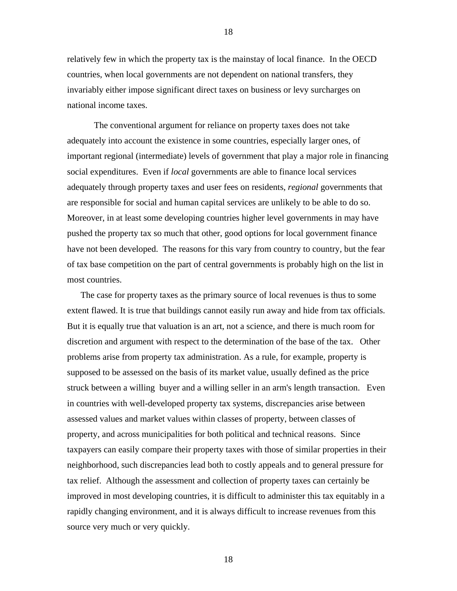relatively few in which the property tax is the mainstay of local finance. In the OECD countries, when local governments are not dependent on national transfers, they invariably either impose significant direct taxes on business or levy surcharges on national income taxes.

18

 The conventional argument for reliance on property taxes does not take adequately into account the existence in some countries, especially larger ones, of important regional (intermediate) levels of government that play a major role in financing social expenditures. Even if *local* governments are able to finance local services adequately through property taxes and user fees on residents, *regional* governments that are responsible for social and human capital services are unlikely to be able to do so. Moreover, in at least some developing countries higher level governments in may have pushed the property tax so much that other, good options for local government finance have not been developed. The reasons for this vary from country to country, but the fear of tax base competition on the part of central governments is probably high on the list in most countries.

 The case for property taxes as the primary source of local revenues is thus to some extent flawed. It is true that buildings cannot easily run away and hide from tax officials. But it is equally true that valuation is an art, not a science, and there is much room for discretion and argument with respect to the determination of the base of the tax. Other problems arise from property tax administration. As a rule, for example, property is supposed to be assessed on the basis of its market value, usually defined as the price struck between a willing buyer and a willing seller in an arm's length transaction. Even in countries with well-developed property tax systems, discrepancies arise between assessed values and market values within classes of property, between classes of property, and across municipalities for both political and technical reasons. Since taxpayers can easily compare their property taxes with those of similar properties in their neighborhood, such discrepancies lead both to costly appeals and to general pressure for tax relief. Although the assessment and collection of property taxes can certainly be improved in most developing countries, it is difficult to administer this tax equitably in a rapidly changing environment, and it is always difficult to increase revenues from this source very much or very quickly.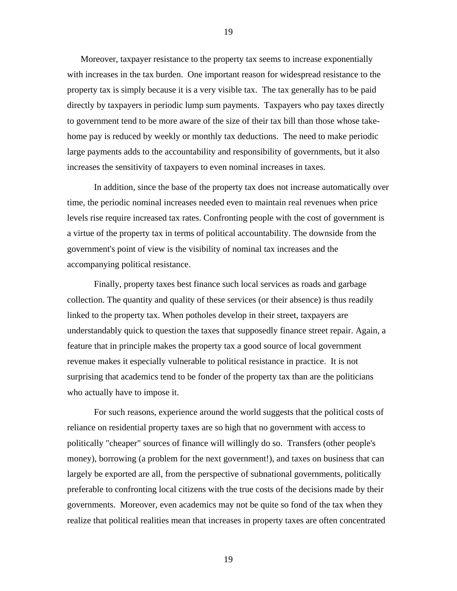Moreover, taxpayer resistance to the property tax seems to increase exponentially with increases in the tax burden. One important reason for widespread resistance to the property tax is simply because it is a very visible tax. The tax generally has to be paid directly by taxpayers in periodic lump sum payments. Taxpayers who pay taxes directly to government tend to be more aware of the size of their tax bill than those whose takehome pay is reduced by weekly or monthly tax deductions. The need to make periodic large payments adds to the accountability and responsibility of governments, but it also increases the sensitivity of taxpayers to even nominal increases in taxes.

19

 In addition, since the base of the property tax does not increase automatically over time, the periodic nominal increases needed even to maintain real revenues when price levels rise require increased tax rates. Confronting people with the cost of government is a virtue of the property tax in terms of political accountability. The downside from the government's point of view is the visibility of nominal tax increases and the accompanying political resistance.

 Finally, property taxes best finance such local services as roads and garbage collection. The quantity and quality of these services (or their absence) is thus readily linked to the property tax. When potholes develop in their street, taxpayers are understandably quick to question the taxes that supposedly finance street repair. Again, a feature that in principle makes the property tax a good source of local government revenue makes it especially vulnerable to political resistance in practice. It is not surprising that academics tend to be fonder of the property tax than are the politicians who actually have to impose it.

 For such reasons, experience around the world suggests that the political costs of reliance on residential property taxes are so high that no government with access to politically "cheaper" sources of finance will willingly do so. Transfers (other people's money), borrowing (a problem for the next government!), and taxes on business that can largely be exported are all, from the perspective of subnational governments, politically preferable to confronting local citizens with the true costs of the decisions made by their governments. Moreover, even academics may not be quite so fond of the tax when they realize that political realities mean that increases in property taxes are often concentrated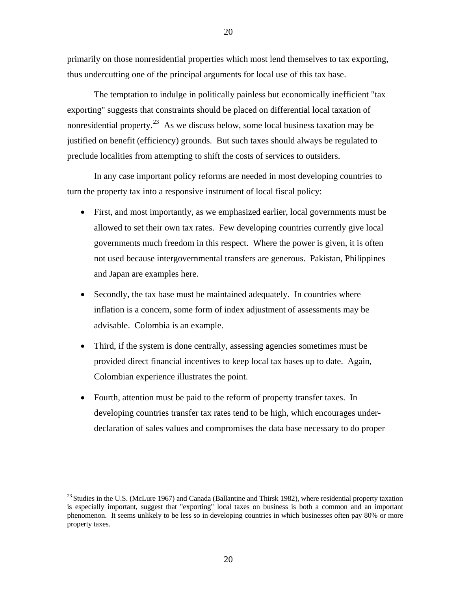primarily on those nonresidential properties which most lend themselves to tax exporting, thus undercutting one of the principal arguments for local use of this tax base.

 The temptation to indulge in politically painless but economically inefficient "tax exporting" suggests that constraints should be placed on differential local taxation of nonresidential property.<sup>[23](#page-19-0)</sup> As we discuss below, some local business taxation may be justified on benefit (efficiency) grounds. But such taxes should always be regulated to preclude localities from attempting to shift the costs of services to outsiders.

 In any case important policy reforms are needed in most developing countries to turn the property tax into a responsive instrument of local fiscal policy:

- First, and most importantly, as we emphasized earlier, local governments must be allowed to set their own tax rates. Few developing countries currently give local governments much freedom in this respect. Where the power is given, it is often not used because intergovernmental transfers are generous. Pakistan, Philippines and Japan are examples here.
- Secondly, the tax base must be maintained adequately. In countries where inflation is a concern, some form of index adjustment of assessments may be advisable. Colombia is an example.
- Third, if the system is done centrally, assessing agencies sometimes must be provided direct financial incentives to keep local tax bases up to date. Again, Colombian experience illustrates the point.
- Fourth, attention must be paid to the reform of property transfer taxes. In developing countries transfer tax rates tend to be high, which encourages underdeclaration of sales values and compromises the data base necessary to do proper

<u>.</u>

<span id="page-19-0"></span><sup>&</sup>lt;sup>23.</sup> Studies in the U.S. (McLure 1967) and Canada (Ballantine and Thirsk 1982), where residential property taxation is especially important, suggest that "exporting" local taxes on business is both a common and an important phenomenon. It seems unlikely to be less so in developing countries in which businesses often pay 80% or more property taxes.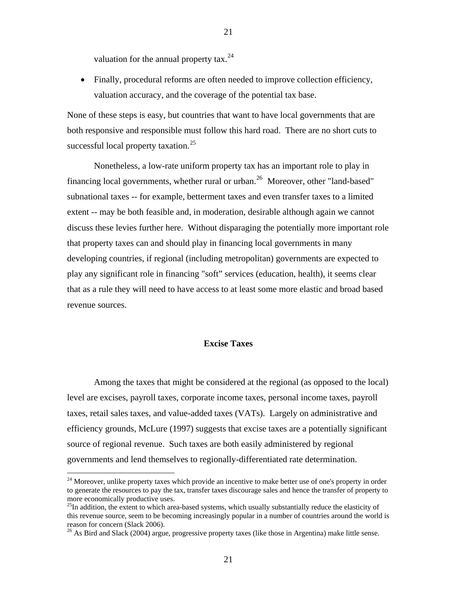valuation for the annual property tax.<sup>24</sup>

• Finally, procedural reforms are often needed to improve collection efficiency, valuation accuracy, and the coverage of the potential tax base.

21

None of these steps is easy, but countries that want to have local governments that are both responsive and responsible must follow this hard road. There are no short cuts to successful local property taxation. $^{25}$  $^{25}$  $^{25}$ 

 Nonetheless, a low-rate uniform property tax has an important role to play in financing local governments, whether rural or urban.<sup>[26](#page-20-1)</sup> Moreover, other "land-based" subnational taxes -- for example, betterment taxes and even transfer taxes to a limited extent -- may be both feasible and, in moderation, desirable although again we cannot discuss these levies further here. Without disparaging the potentially more important role that property taxes can and should play in financing local governments in many developing countries, if regional (including metropolitan) governments are expected to play any significant role in financing "soft" services (education, health), it seems clear that as a rule they will need to have access to at least some more elastic and broad based revenue sources.

#### **Excise Taxes**

 Among the taxes that might be considered at the regional (as opposed to the local) level are excises, payroll taxes, corporate income taxes, personal income taxes, payroll taxes, retail sales taxes, and value-added taxes (VATs). Largely on administrative and efficiency grounds, McLure (1997) suggests that excise taxes are a potentially significant source of regional revenue. Such taxes are both easily administered by regional governments and lend themselves to regionally-differentiated rate determination.

 $24$  Moreover, unlike property taxes which provide an incentive to make better use of one's property in order to generate the resources to pay the tax, transfer taxes discourage sales and hence the transfer of property to more economically productive uses.

<span id="page-20-0"></span><sup>&</sup>lt;sup>25</sup>In addition, the extent to which area-based systems, which usually substantially reduce the elasticity of this revenue source, seem to be becoming increasingly popular in a number of countries around the world is reason for concern (Slack 2006).

<span id="page-20-1"></span><sup>&</sup>lt;sup>26</sup> As Bird and Slack (2004) argue, progressive property taxes (like those in Argentina) make little sense.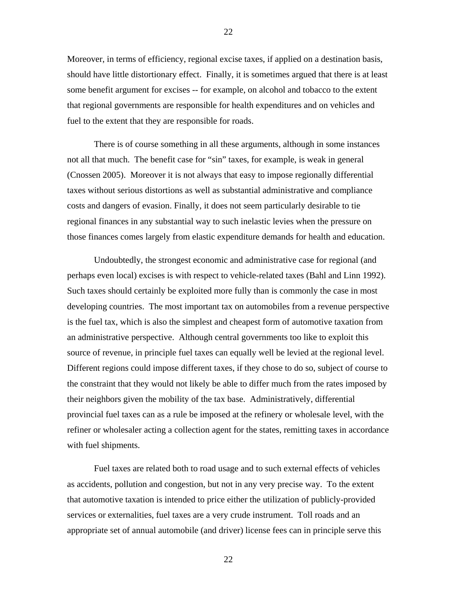Moreover, in terms of efficiency, regional excise taxes, if applied on a destination basis, should have little distortionary effect. Finally, it is sometimes argued that there is at least some benefit argument for excises -- for example, on alcohol and tobacco to the extent that regional governments are responsible for health expenditures and on vehicles and fuel to the extent that they are responsible for roads.

 There is of course something in all these arguments, although in some instances not all that much. The benefit case for "sin" taxes, for example, is weak in general (Cnossen 2005). Moreover it is not always that easy to impose regionally differential taxes without serious distortions as well as substantial administrative and compliance costs and dangers of evasion. Finally, it does not seem particularly desirable to tie regional finances in any substantial way to such inelastic levies when the pressure on those finances comes largely from elastic expenditure demands for health and education.

 Undoubtedly, the strongest economic and administrative case for regional (and perhaps even local) excises is with respect to vehicle-related taxes (Bahl and Linn 1992). Such taxes should certainly be exploited more fully than is commonly the case in most developing countries. The most important tax on automobiles from a revenue perspective is the fuel tax, which is also the simplest and cheapest form of automotive taxation from an administrative perspective. Although central governments too like to exploit this source of revenue, in principle fuel taxes can equally well be levied at the regional level. Different regions could impose different taxes, if they chose to do so, subject of course to the constraint that they would not likely be able to differ much from the rates imposed by their neighbors given the mobility of the tax base. Administratively, differential provincial fuel taxes can as a rule be imposed at the refinery or wholesale level, with the refiner or wholesaler acting a collection agent for the states, remitting taxes in accordance with fuel shipments.

 Fuel taxes are related both to road usage and to such external effects of vehicles as accidents, pollution and congestion, but not in any very precise way. To the extent that automotive taxation is intended to price either the utilization of publicly-provided services or externalities, fuel taxes are a very crude instrument. Toll roads and an appropriate set of annual automobile (and driver) license fees can in principle serve this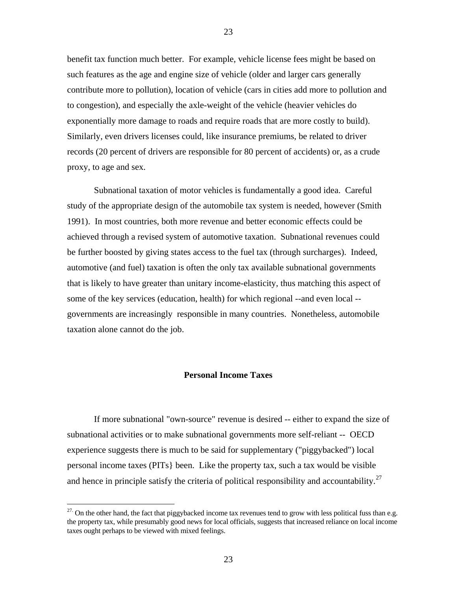benefit tax function much better. For example, vehicle license fees might be based on such features as the age and engine size of vehicle (older and larger cars generally contribute more to pollution), location of vehicle (cars in cities add more to pollution and to congestion), and especially the axle-weight of the vehicle (heavier vehicles do exponentially more damage to roads and require roads that are more costly to build). Similarly, even drivers licenses could, like insurance premiums, be related to driver records (20 percent of drivers are responsible for 80 percent of accidents) or, as a crude proxy, to age and sex.

23

 Subnational taxation of motor vehicles is fundamentally a good idea. Careful study of the appropriate design of the automobile tax system is needed, however (Smith 1991). In most countries, both more revenue and better economic effects could be achieved through a revised system of automotive taxation. Subnational revenues could be further boosted by giving states access to the fuel tax (through surcharges). Indeed, automotive (and fuel) taxation is often the only tax available subnational governments that is likely to have greater than unitary income-elasticity, thus matching this aspect of some of the key services (education, health) for which regional --and even local - governments are increasingly responsible in many countries. Nonetheless, automobile taxation alone cannot do the job.

#### **Personal Income Taxes**

 If more subnational "own-source" revenue is desired -- either to expand the size of subnational activities or to make subnational governments more self-reliant -- OECD experience suggests there is much to be said for supplementary ("piggybacked") local personal income taxes (PITs} been. Like the property tax, such a tax would be visible and hence in principle satisfy the criteria of political responsibility and accountability.<sup>[27](#page-22-0)</sup>

<span id="page-22-0"></span><sup>&</sup>lt;sup>27.</sup> On the other hand, the fact that piggybacked income tax revenues tend to grow with less political fuss than e.g. the property tax, while presumably good news for local officials, suggests that increased reliance on local income taxes ought perhaps to be viewed with mixed feelings.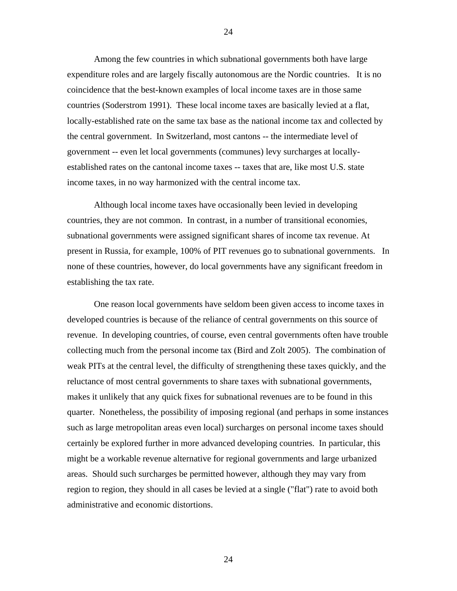Among the few countries in which subnational governments both have large expenditure roles and are largely fiscally autonomous are the Nordic countries. It is no coincidence that the best-known examples of local income taxes are in those same countries (Soderstrom 1991). These local income taxes are basically levied at a flat, locally-established rate on the same tax base as the national income tax and collected by the central government. In Switzerland, most cantons -- the intermediate level of government -- even let local governments (communes) levy surcharges at locallyestablished rates on the cantonal income taxes -- taxes that are, like most U.S. state income taxes, in no way harmonized with the central income tax.

 Although local income taxes have occasionally been levied in developing countries, they are not common. In contrast, in a number of transitional economies, subnational governments were assigned significant shares of income tax revenue. At present in Russia, for example, 100% of PIT revenues go to subnational governments. In none of these countries, however, do local governments have any significant freedom in establishing the tax rate.

 One reason local governments have seldom been given access to income taxes in developed countries is because of the reliance of central governments on this source of revenue. In developing countries, of course, even central governments often have trouble collecting much from the personal income tax (Bird and Zolt 2005). The combination of weak PITs at the central level, the difficulty of strengthening these taxes quickly, and the reluctance of most central governments to share taxes with subnational governments, makes it unlikely that any quick fixes for subnational revenues are to be found in this quarter. Nonetheless, the possibility of imposing regional (and perhaps in some instances such as large metropolitan areas even local) surcharges on personal income taxes should certainly be explored further in more advanced developing countries. In particular, this might be a workable revenue alternative for regional governments and large urbanized areas. Should such surcharges be permitted however, although they may vary from region to region, they should in all cases be levied at a single ("flat") rate to avoid both administrative and economic distortions.

24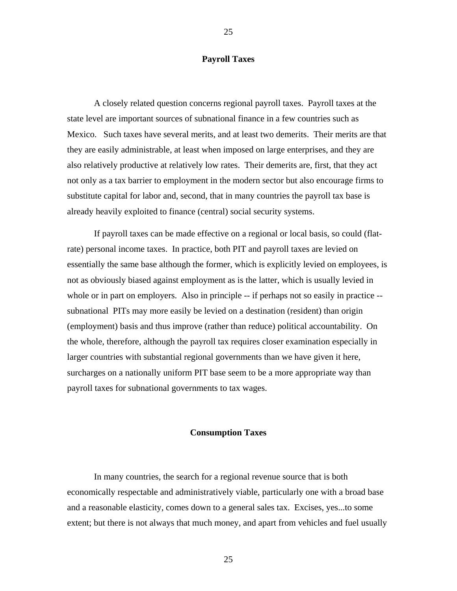#### **Payroll Taxes**

 A closely related question concerns regional payroll taxes. Payroll taxes at the state level are important sources of subnational finance in a few countries such as Mexico. Such taxes have several merits, and at least two demerits. Their merits are that they are easily administrable, at least when imposed on large enterprises, and they are also relatively productive at relatively low rates. Their demerits are, first, that they act not only as a tax barrier to employment in the modern sector but also encourage firms to substitute capital for labor and, second, that in many countries the payroll tax base is already heavily exploited to finance (central) social security systems.

 If payroll taxes can be made effective on a regional or local basis, so could (flatrate) personal income taxes. In practice, both PIT and payroll taxes are levied on essentially the same base although the former, which is explicitly levied on employees, is not as obviously biased against employment as is the latter, which is usually levied in whole or in part on employers. Also in principle -- if perhaps not so easily in practice -subnational PITs may more easily be levied on a destination (resident) than origin (employment) basis and thus improve (rather than reduce) political accountability. On the whole, therefore, although the payroll tax requires closer examination especially in larger countries with substantial regional governments than we have given it here, surcharges on a nationally uniform PIT base seem to be a more appropriate way than payroll taxes for subnational governments to tax wages.

#### **Consumption Taxes**

 In many countries, the search for a regional revenue source that is both economically respectable and administratively viable, particularly one with a broad base and a reasonable elasticity, comes down to a general sales tax. Excises, yes...to some extent; but there is not always that much money, and apart from vehicles and fuel usually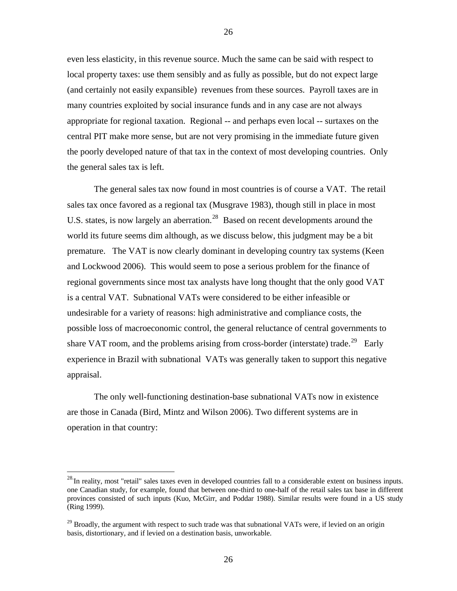even less elasticity, in this revenue source. Much the same can be said with respect to local property taxes: use them sensibly and as fully as possible, but do not expect large (and certainly not easily expansible) revenues from these sources. Payroll taxes are in many countries exploited by social insurance funds and in any case are not always appropriate for regional taxation. Regional -- and perhaps even local -- surtaxes on the central PIT make more sense, but are not very promising in the immediate future given the poorly developed nature of that tax in the context of most developing countries. Only the general sales tax is left.

 The general sales tax now found in most countries is of course a VAT. The retail sales tax once favored as a regional tax (Musgrave 1983), though still in place in most U.S. states, is now largely an aberration.<sup>[28](#page-25-0)</sup> Based on recent developments around the world its future seems dim although, as we discuss below, this judgment may be a bit premature. The VAT is now clearly dominant in developing country tax systems (Keen and Lockwood 2006). This would seem to pose a serious problem for the finance of regional governments since most tax analysts have long thought that the only good VAT is a central VAT. Subnational VATs were considered to be either infeasible or undesirable for a variety of reasons: high administrative and compliance costs, the possible loss of macroeconomic control, the general reluctance of central governments to share VAT room, and the problems arising from cross-border (interstate) trade.<sup>[29](#page-25-1)</sup> Early experience in Brazil with subnational VATs was generally taken to support this negative appraisal.

 The only well-functioning destination-base subnational VATs now in existence are those in Canada (Bird, Mintz and Wilson 2006). Two different systems are in operation in that country:

1

<span id="page-25-0"></span><sup>&</sup>lt;sup>28.</sup>In reality, most "retail" sales taxes even in developed countries fall to a considerable extent on business inputs. one Canadian study, for example, found that between one-third to one-half of the retail sales tax base in different provinces consisted of such inputs (Kuo, McGirr, and Poddar 1988). Similar results were found in a US study (Ring 1999).

<span id="page-25-1"></span><sup>&</sup>lt;sup>29</sup> Broadly, the argument with respect to such trade was that subnational VATs were, if levied on an origin basis, distortionary, and if levied on a destination basis, unworkable.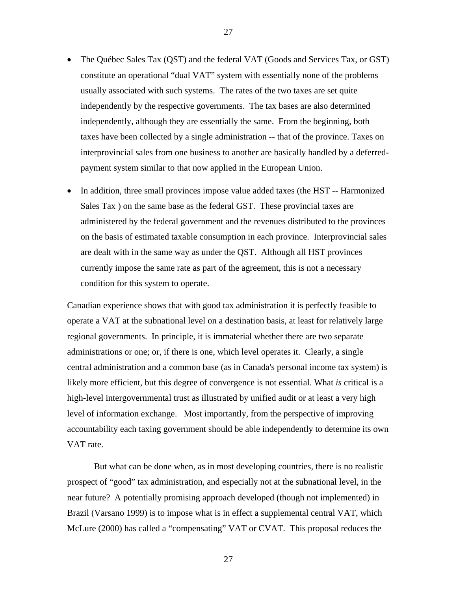• The Québec Sales Tax (QST) and the federal VAT (Goods and Services Tax, or GST) constitute an operational "dual VAT" system with essentially none of the problems usually associated with such systems. The rates of the two taxes are set quite independently by the respective governments. The tax bases are also determined independently, although they are essentially the same. From the beginning, both taxes have been collected by a single administration -- that of the province. Taxes on interprovincial sales from one business to another are basically handled by a deferredpayment system similar to that now applied in the European Union.

27

• In addition, three small provinces impose value added taxes (the HST -- Harmonized Sales Tax ) on the same base as the federal GST. These provincial taxes are administered by the federal government and the revenues distributed to the provinces on the basis of estimated taxable consumption in each province. Interprovincial sales are dealt with in the same way as under the QST. Although all HST provinces currently impose the same rate as part of the agreement, this is not a necessary condition for this system to operate.

Canadian experience shows that with good tax administration it is perfectly feasible to operate a VAT at the subnational level on a destination basis, at least for relatively large regional governments. In principle, it is immaterial whether there are two separate administrations or one; or, if there is one, which level operates it. Clearly, a single central administration and a common base (as in Canada's personal income tax system) is likely more efficient, but this degree of convergence is not essential. What *is* critical is a high-level intergovernmental trust as illustrated by unified audit or at least a very high level of information exchange. Most importantly, from the perspective of improving accountability each taxing government should be able independently to determine its own VAT rate.

 But what can be done when, as in most developing countries, there is no realistic prospect of "good" tax administration, and especially not at the subnational level, in the near future? A potentially promising approach developed (though not implemented) in Brazil (Varsano 1999) is to impose what is in effect a supplemental central VAT, which McLure (2000) has called a "compensating" VAT or CVAT. This proposal reduces the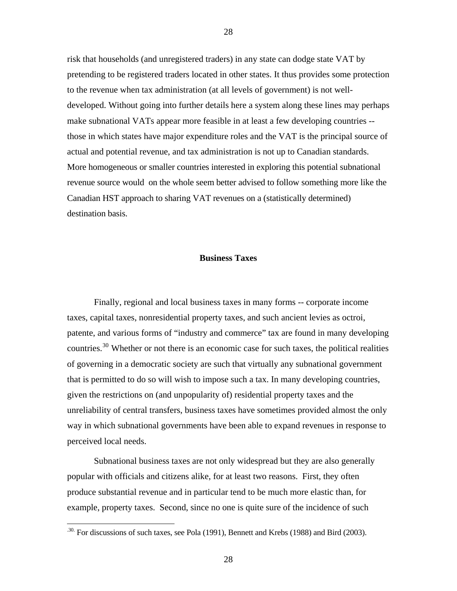risk that households (and unregistered traders) in any state can dodge state VAT by pretending to be registered traders located in other states. It thus provides some protection to the revenue when tax administration (at all levels of government) is not welldeveloped. Without going into further details here a system along these lines may perhaps make subnational VATs appear more feasible in at least a few developing countries - those in which states have major expenditure roles and the VAT is the principal source of actual and potential revenue, and tax administration is not up to Canadian standards. More homogeneous or smaller countries interested in exploring this potential subnational revenue source would on the whole seem better advised to follow something more like the Canadian HST approach to sharing VAT revenues on a (statistically determined) destination basis.

#### **Business Taxes**

 Finally, regional and local business taxes in many forms -- corporate income taxes, capital taxes, nonresidential property taxes, and such ancient levies as octroi, patente, and various forms of "industry and commerce" tax are found in many developing countries.<sup>[30](#page-27-0)</sup> Whether or not there is an economic case for such taxes, the political realities of governing in a democratic society are such that virtually any subnational government that is permitted to do so will wish to impose such a tax. In many developing countries, given the restrictions on (and unpopularity of) residential property taxes and the unreliability of central transfers, business taxes have sometimes provided almost the only way in which subnational governments have been able to expand revenues in response to perceived local needs.

 Subnational business taxes are not only widespread but they are also generally popular with officials and citizens alike, for at least two reasons. First, they often produce substantial revenue and in particular tend to be much more elastic than, for example, property taxes. Second, since no one is quite sure of the incidence of such

<span id="page-27-0"></span><sup>&</sup>lt;sup>30.</sup> For discussions of such taxes, see Pola (1991), Bennett and Krebs (1988) and Bird (2003).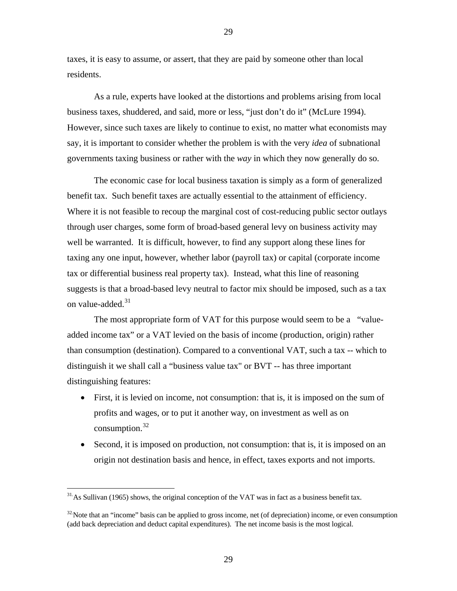taxes, it is easy to assume, or assert, that they are paid by someone other than local residents.

 As a rule, experts have looked at the distortions and problems arising from local business taxes, shuddered, and said, more or less, "just don't do it" (McLure 1994). However, since such taxes are likely to continue to exist, no matter what economists may say, it is important to consider whether the problem is with the very *idea* of subnational governments taxing business or rather with the *way* in which they now generally do so.

 The economic case for local business taxation is simply as a form of generalized benefit tax. Such benefit taxes are actually essential to the attainment of efficiency. Where it is not feasible to recoup the marginal cost of cost-reducing public sector outlays through user charges, some form of broad-based general levy on business activity may well be warranted. It is difficult, however, to find any support along these lines for taxing any one input, however, whether labor (payroll tax) or capital (corporate income tax or differential business real property tax). Instead, what this line of reasoning suggests is that a broad-based levy neutral to factor mix should be imposed, such as a tax on value-added.<sup>[31](#page-28-0)</sup>

 The most appropriate form of VAT for this purpose would seem to be a "valueadded income tax" or a VAT levied on the basis of income (production, origin) rather than consumption (destination). Compared to a conventional VAT, such a tax -- which to distinguish it we shall call a "business value tax" or BVT -- has three important distinguishing features:

- First, it is levied on income, not consumption: that is, it is imposed on the sum of profits and wages, or to put it another way, on investment as well as on consumption. $32$
- Second, it is imposed on production, not consumption: that is, it is imposed on an origin not destination basis and hence, in effect, taxes exports and not imports.

1

<span id="page-28-0"></span><sup>&</sup>lt;sup>31.</sup>As Sullivan (1965) shows, the original conception of the VAT was in fact as a business benefit tax.

<span id="page-28-1"></span><sup>&</sup>lt;sup>32</sup>. Note that an "income" basis can be applied to gross income, net (of depreciation) income, or even consumption (add back depreciation and deduct capital expenditures). The net income basis is the most logical.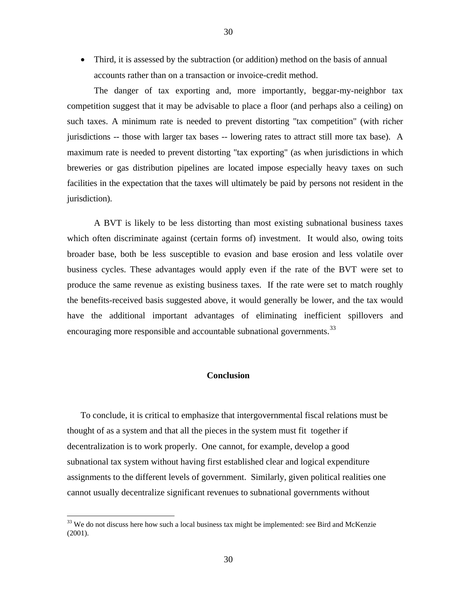• Third, it is assessed by the subtraction (or addition) method on the basis of annual accounts rather than on a transaction or invoice-credit method.

The danger of tax exporting and, more importantly, beggar-my-neighbor tax competition suggest that it may be advisable to place a floor (and perhaps also a ceiling) on such taxes. A minimum rate is needed to prevent distorting "tax competition" (with richer jurisdictions -- those with larger tax bases -- lowering rates to attract still more tax base). A maximum rate is needed to prevent distorting "tax exporting" (as when jurisdictions in which breweries or gas distribution pipelines are located impose especially heavy taxes on such facilities in the expectation that the taxes will ultimately be paid by persons not resident in the jurisdiction).

 A BVT is likely to be less distorting than most existing subnational business taxes which often discriminate against (certain forms of) investment. It would also, owing toits broader base, both be less susceptible to evasion and base erosion and less volatile over business cycles. These advantages would apply even if the rate of the BVT were set to produce the same revenue as existing business taxes. If the rate were set to match roughly the benefits-received basis suggested above, it would generally be lower, and the tax would have the additional important advantages of eliminating inefficient spillovers and encouraging more responsible and accountable subnational governments.<sup>[33](#page-29-0)</sup>

#### **Conclusion**

 To conclude, it is critical to emphasize that intergovernmental fiscal relations must be thought of as a system and that all the pieces in the system must fit together if decentralization is to work properly. One cannot, for example, develop a good subnational tax system without having first established clear and logical expenditure assignments to the different levels of government. Similarly, given political realities one cannot usually decentralize significant revenues to subnational governments without

<span id="page-29-0"></span> $33$  We do not discuss here how such a local business tax might be implemented: see Bird and McKenzie (2001).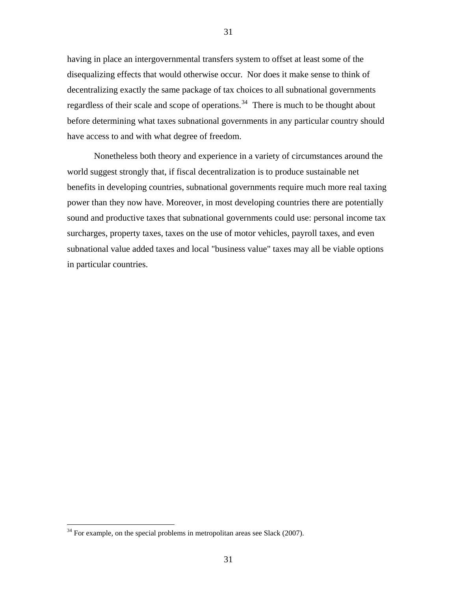having in place an intergovernmental transfers system to offset at least some of the disequalizing effects that would otherwise occur. Nor does it make sense to think of decentralizing exactly the same package of tax choices to all subnational governments regardless of their scale and scope of operations.<sup>[34](#page-30-0)</sup> There is much to be thought about before determining what taxes subnational governments in any particular country should have access to and with what degree of freedom.

 Nonetheless both theory and experience in a variety of circumstances around the world suggest strongly that, if fiscal decentralization is to produce sustainable net benefits in developing countries, subnational governments require much more real taxing power than they now have. Moreover, in most developing countries there are potentially sound and productive taxes that subnational governments could use: personal income tax surcharges, property taxes, taxes on the use of motor vehicles, payroll taxes, and even subnational value added taxes and local "business value" taxes may all be viable options in particular countries.

<u>.</u>

<span id="page-30-0"></span> $34$  For example, on the special problems in metropolitan areas see Slack (2007).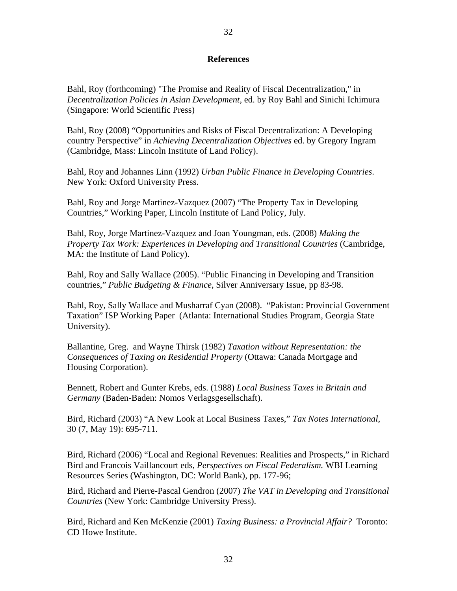#### **References**

Bahl, Roy (forthcoming) "The Promise and Reality of Fiscal Decentralization," in *Decentralization Policies in Asian Development,* ed. by Roy Bahl and Sinichi Ichimura (Singapore: World Scientific Press)

Bahl, Roy (2008) "Opportunities and Risks of Fiscal Decentralization: A Developing country Perspective" in *Achieving Decentralization Objectives* ed. by Gregory Ingram (Cambridge, Mass: Lincoln Institute of Land Policy).

Bahl, Roy and Johannes Linn (1992) *Urban Public Finance in Developing Countries*. New York: Oxford University Press.

Bahl, Roy and Jorge Martinez-Vazquez (2007) "The Property Tax in Developing Countries," Working Paper, Lincoln Institute of Land Policy, July.

Bahl, Roy, Jorge Martinez-Vazquez and Joan Youngman, eds. (2008) *Making the Property Tax Work: Experiences in Developing and Transitional Countries* (Cambridge, MA: the Institute of Land Policy).

Bahl, Roy and Sally Wallace (2005). "Public Financing in Developing and Transition countries," *Public Budgeting & Finance*, Silver Anniversary Issue, pp 83-98.

Bahl, Roy, Sally Wallace and Musharraf Cyan (2008). "Pakistan: Provincial Government Taxation" ISP Working Paper (Atlanta: International Studies Program, Georgia State University).

Ballantine, Greg. and Wayne Thirsk (1982) *Taxation without Representation: the Consequences of Taxing on Residential Property* (Ottawa: Canada Mortgage and Housing Corporation).

Bennett, Robert and Gunter Krebs, eds. (1988) *Local Business Taxes in Britain and Germany* (Baden-Baden: Nomos Verlagsgesellschaft).

Bird, Richard (2003) "A New Look at Local Business Taxes," *Tax Notes International*, 30 (7, May 19): 695-711.

Bird, Richard (2006) "Local and Regional Revenues: Realities and Prospects," in Richard Bird and Francois Vaillancourt eds, *Perspectives on Fiscal Federalism.* WBI Learning Resources Series (Washington, DC: World Bank), pp. 177-96;

Bird, Richard and Pierre-Pascal Gendron (2007) *The VAT in Developing and Transitional Countries* (New York: Cambridge University Press).

Bird, Richard and Ken McKenzie (2001) *Taxing Business: a Provincial Affair?* Toronto: CD Howe Institute.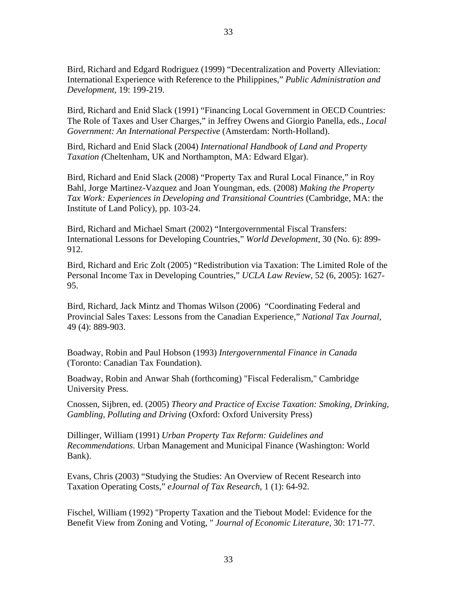Bird, Richard and Edgard Rodriguez (1999) "Decentralization and Poverty Alleviation: International Experience with Reference to the Philippines," *Public Administration and Development*, 19: 199-219.

Bird, Richard and Enid Slack (1991) "Financing Local Government in OECD Countries: The Role of Taxes and User Charges," in Jeffrey Owens and Giorgio Panella, eds., *Local Government: An International Perspective* (Amsterdam: North-Holland).

Bird, Richard and Enid Slack (2004) *International Handbook of Land and Property Taxation (*Cheltenham, UK and Northampton, MA: Edward Elgar).

Bird, Richard and Enid Slack (2008) "Property Tax and Rural Local Finance," in Roy Bahl, Jorge Martinez-Vazquez and Joan Youngman, eds. (2008) *Making the Property Tax Work: Experiences in Developing and Transitional Countries* (Cambridge, MA: the Institute of Land Policy), pp. 103-24.

Bird, Richard and Michael Smart (2002) "Intergovernmental Fiscal Transfers: International Lessons for Developing Countries," *World Development*, 30 (No. 6): 899- 912.

Bird, Richard and Eric Zolt (2005) "Redistribution via Taxation: The Limited Role of the Personal Income Tax in Developing Countries," *UCLA Law Review*, 52 (6, 2005): 1627- 95.

Bird, Richard, Jack Mintz and Thomas Wilson (2006) "Coordinating Federal and Provincial Sales Taxes: Lessons from the Canadian Experience," *National Tax Journal*, 49 (4): 889-903.

Boadway, Robin and Paul Hobson (1993) *Intergovernmental Finance in Canada* (Toronto: Canadian Tax Foundation).

Boadway, Robin and Anwar Shah (forthcoming) "Fiscal Federalism," Cambridge University Press.

Cnossen, Sijbren, ed. (2005) *Theory and Practice of Excise Taxation: Smoking, Drinking, Gambling, Polluting and Driving* (Oxford: Oxford University Press)

Dillinger, William (1991) *Urban Property Tax Reform: Guidelines and Recommendations*. Urban Management and Municipal Finance (Washington: World Bank).

Evans, Chris (2003) "Studying the Studies: An Overview of Recent Research into Taxation Operating Costs," *eJournal of Tax Research*, 1 (1): 64-92.

Fischel, William (1992) "Property Taxation and the Tiebout Model: Evidence for the Benefit View from Zoning and Voting, " *Journal of Economic Literature,* 30: 171-77.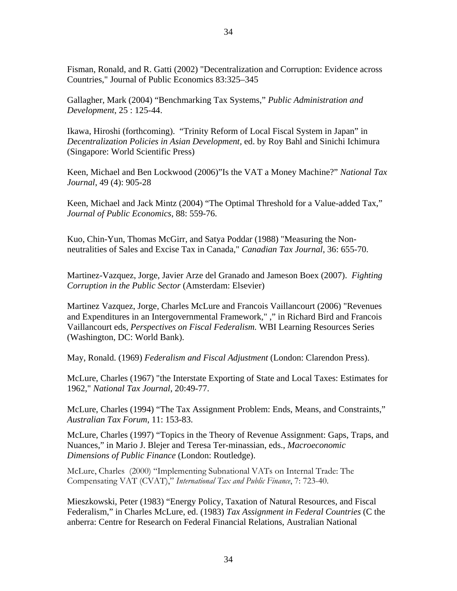Fisman, Ronald, and R. Gatti (2002) "Decentralization and Corruption: Evidence across Countries," Journal of Public Economics 83:325–345

Gallagher, Mark (2004) "Benchmarking Tax Systems," *Public Administration and Development*, 25 : 125-44.

Ikawa, Hiroshi (forthcoming). "Trinity Reform of Local Fiscal System in Japan" in *Decentralization Policies in Asian Development,* ed. by Roy Bahl and Sinichi Ichimura (Singapore: World Scientific Press)

Keen, Michael and Ben Lockwood (2006)"Is the VAT a Money Machine?" *National Tax Journal*, 49 (4): 905-28

Keen, Michael and Jack Mintz (2004) "The Optimal Threshold for a Value-added Tax," *Journal of Public Economics*, 88: 559-76.

Kuo, Chin-Yun, Thomas McGirr, and Satya Poddar (1988) "Measuring the Nonneutralities of Sales and Excise Tax in Canada," *Canadian Tax Journal*, 36: 655-70.

Martinez-Vazquez, Jorge, Javier Arze del Granado and Jameson Boex (2007). *Fighting Corruption in the Public Sector* (Amsterdam: Elsevier)

Martinez Vazquez, Jorge, Charles McLure and Francois Vaillancourt (2006) "Revenues and Expenditures in an Intergovernmental Framework," ," in Richard Bird and Francois Vaillancourt eds, *Perspectives on Fiscal Federalism.* WBI Learning Resources Series (Washington, DC: World Bank).

May, Ronald. (1969) *Federalism and Fiscal Adjustment* (London: Clarendon Press).

McLure, Charles (1967) "the Interstate Exporting of State and Local Taxes: Estimates for 1962," *National Tax Journal*, 20:49-77.

McLure, Charles (1994) "The Tax Assignment Problem: Ends, Means, and Constraints," *Australian Tax Forum*, 11: 153-83.

McLure, Charles (1997) "Topics in the Theory of Revenue Assignment: Gaps, Traps, and Nuances," in Mario J. Blejer and Teresa Ter-minassian, eds., *Macroeconomic Dimensions of Public Finance* (London: Routledge).

McLure, Charles (2000) "Implementing Subnational VATs on Internal Trade: The Compensating VAT (CVAT)," *International Tax and Public Finance*, 7: 723-40.

Mieszkowski, Peter (1983) "Energy Policy, Taxation of Natural Resources, and Fiscal Federalism," in Charles McLure, ed. (1983) *Tax Assignment in Federal Countries* (C the anberra: Centre for Research on Federal Financial Relations, Australian National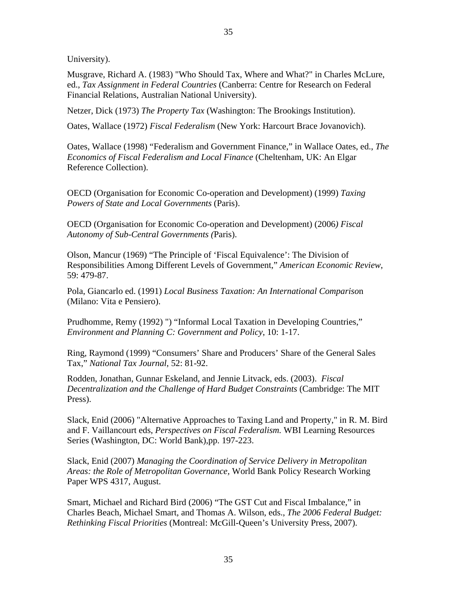University).

Musgrave, Richard A. (1983) "Who Should Tax, Where and What?" in Charles McLure, ed., *Tax Assignment in Federal Countries* (Canberra: Centre for Research on Federal Financial Relations, Australian National University).

Netzer, Dick (1973) *The Property Tax* (Washington: The Brookings Institution).

Oates, Wallace (1972) *Fiscal Federalism* (New York: Harcourt Brace Jovanovich).

Oates, Wallace (1998) "Federalism and Government Finance," in Wallace Oates, ed., *The Economics of Fiscal Federalism and Local Finance* (Cheltenham, UK: An Elgar Reference Collection).

OECD (Organisation for Economic Co-operation and Development) (1999) *Taxing Powers of State and Local Governments* (Paris).

OECD (Organisation for Economic Co-operation and Development) (2006*) Fiscal Autonomy of Sub-Central Governments (*Paris).

Olson, Mancur (1969) "The Principle of 'Fiscal Equivalence': The Division of Responsibilities Among Different Levels of Government," *American Economic Review*, 59: 479-87.

Pola, Giancarlo ed. (1991) *Local Business Taxation: An International Compariso*n (Milano: Vita e Pensiero).

Prudhomme, Remy (1992) ") "Informal Local Taxation in Developing Countries," *Environment and Planning C: Government and Policy*, 10: 1-17.

Ring, Raymond (1999) "Consumers' Share and Producers' Share of the General Sales Tax," *National Tax Journal*, 52: 81-92.

Rodden, Jonathan, Gunnar Eskeland, and Jennie Litvack, eds. (2003). *Fiscal Decentralization and the Challenge of Hard Budget Constraints* (Cambridge: The MIT Press).

Slack, Enid (2006) "Alternative Approaches to Taxing Land and Property," in R. M. Bird and F. Vaillancourt eds, *Perspectives on Fiscal Federalism.* WBI Learning Resources Series (Washington, DC: World Bank),pp. 197-223.

Slack, Enid (2007) *Managing the Coordination of Service Delivery in Metropolitan Areas: the Role of Metropolitan Governance,* World Bank Policy Research Working Paper WPS 4317, August.

Smart, Michael and Richard Bird (2006) "The GST Cut and Fiscal Imbalance," in Charles Beach, Michael Smart, and Thomas A. Wilson, eds., *The 2006 Federal Budget: Rethinking Fiscal Priorities* (Montreal: McGill-Queen's University Press, 2007).